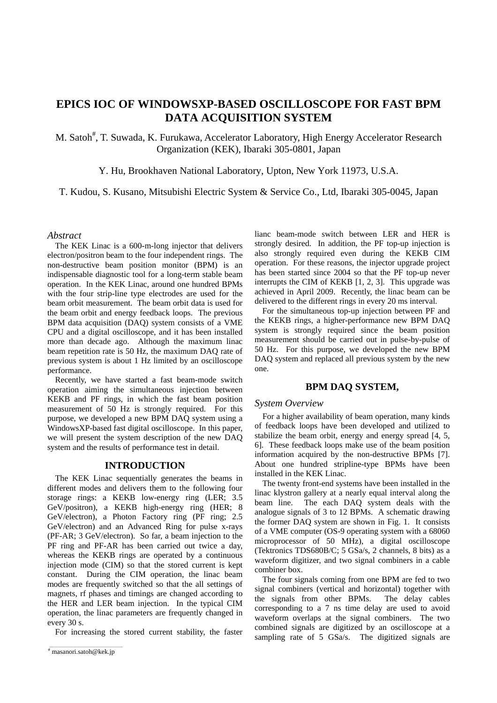# **EPICS IOC OF WINDOWSXP-BASED OSCILLOSCOPE FOR FAST BPM DATA ACQUISITION SYSTEM**

M. Satoh<sup>#</sup>, T. Suwada, K. Furukawa, Accelerator Laboratory, High Energy Accelerator Research Organization (KEK), Ibaraki 305-0801, Japan

Y. Hu, Brookhaven National Laboratory, Upton, New York 11973, U.S.A.

# T. Kudou, S. Kusano, Mitsubishi Electric System & Service Co., Ltd, Ibaraki 305-0045, Japan

# *Abstract*

The KEK Linac is a 600-m-long injector that delivers electron/positron beam to the four independent rings. The non-destructive beam position monitor (BPM) is an indispensable diagnostic tool for a long-term stable beam operation. In the KEK Linac, around one hundred BPMs with the four strip-line type electrodes are used for the beam orbit measurement. The beam orbit data is used for the beam orbit and energy feedback loops. The previous BPM data acquisition (DAQ) system consists of a VME CPU and a digital oscilloscope, and it has been installed more than decade ago. Although the maximum linac beam repetition rate is 50 Hz, the maximum DAQ rate of previous system is about 1 Hz limited by an oscilloscope performance.

Recently, we have started a fast beam-mode switch operation aiming the simultaneous injection between KEKB and PF rings, in which the fast beam position measurement of 50 Hz is strongly required. For this purpose, we developed a new BPM DAQ system using a WindowsXP-based fast digital oscilloscope. In this paper, we will present the system description of the new DAQ system and the results of performance test in detail.

# **INTRODUCTION**

The KEK Linac sequentially generates the beams in different modes and delivers them to the following four storage rings: a KEKB low-energy ring (LER; 3.5 GeV/positron), a KEKB high-energy ring (HER; 8 GeV/electron), a Photon Factory ring (PF ring; 2.5 GeV/electron) and an Advanced Ring for pulse x-rays (PF-AR; 3 GeV/electron). So far, a beam injection to the PF ring and PF-AR has been carried out twice a day, whereas the KEKB rings are operated by a continuous injection mode (CIM) so that the stored current is kept constant. During the CIM operation, the linac beam modes are frequently switched so that the all settings of magnets, rf phases and timings are changed according to the HER and LER beam injection. In the typical CIM operation, the linac parameters are frequently changed in every 30 s.

For increasing the stored current stability, the faster

lianc beam-mode switch between LER and HER is strongly desired. In addition, the PF top-up injection is also strongly required even during the KEKB CIM operation. For these reasons, the injector upgrade project has been started since 2004 so that the PF top-up never interrupts the CIM of KEKB [1, 2, 3]. This upgrade was achieved in April 2009. Recently, the linac beam can be delivered to the different rings in every 20 ms interval.

For the simultaneous top-up injection between PF and the KEKB rings, a higher-performance new BPM DAQ system is strongly required since the beam position measurement should be carried out in pulse-by-pulse of 50 Hz. For this purpose, we developed the new BPM DAQ system and replaced all previous system by the new one.

## **BPM DAQ SYSTEM,**

## *System Overview*

For a higher availability of beam operation, many kinds of feedback loops have been developed and utilized to stabilize the beam orbit, energy and energy spread [4, 5, 6]. These feedback loops make use of the beam position information acquired by the non-destructive BPMs [7]. About one hundred stripline-type BPMs have been installed in the KEK Linac.

The twenty front-end systems have been installed in the linac klystron gallery at a nearly equal interval along the beam line. The each DAQ system deals with the analogue signals of 3 to 12 BPMs. A schematic drawing the former DAQ system are shown in Fig. 1. It consists of a VME computer (OS-9 operating system with a 68060 microprocessor of 50 MHz), a digital oscilloscope (Tektronics TDS680B/C; 5 GSa/s, 2 channels, 8 bits) as a waveform digitizer, and two signal combiners in a cable combiner box.

The four signals coming from one BPM are fed to two signal combiners (vertical and horizontal) together with the signals from other BPMs. The delay cables corresponding to a 7 ns time delay are used to avoid waveform overlaps at the signal combiners. The two combined signals are digitized by an oscilloscope at a sampling rate of 5  $GSa/s$ . The digitized signals are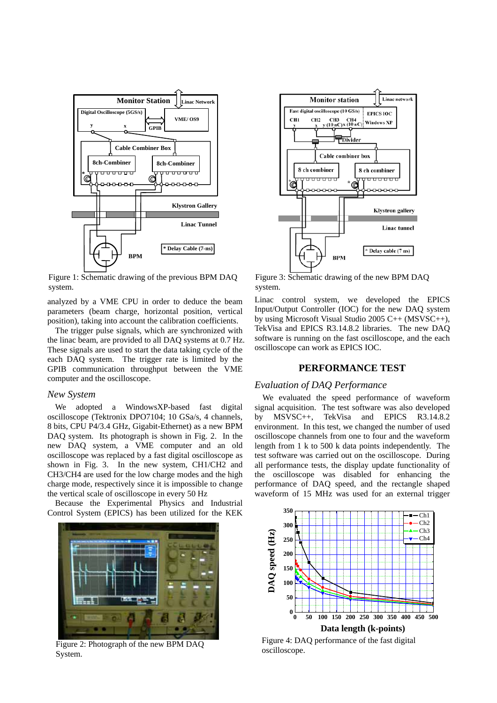

Figure 1: Schematic drawing of the previous BPM DAQ system.

analyzed by a VME CPU in order to deduce the beam parameters (beam charge, horizontal position, vertical position), taking into account the calibration coefficients.

The trigger pulse signals, which are synchronized with the linac beam, are provided to all DAQ systems at 0.7 Hz. These signals are used to start the data taking cycle of the each DAQ system. The trigger rate is limited by the GPIB communication throughput between the VME computer and the oscilloscope.

#### *New System*

We adopted a WindowsXP-based fast digital oscilloscope (Tektronix DPO7104; 10 GSa/s, 4 channels, 8 bits, CPU P4/3.4 GHz, Gigabit-Ethernet) as a new BPM DAQ system. Its photograph is shown in Fig. 2. In the new DAQ system, a VME computer and an old oscilloscope was replaced by a fast digital oscilloscope as shown in Fig. 3. In the new system, CH1/CH2 and CH3/CH4 are used for the low charge modes and the high charge mode, respectively since it is impossible to change the vertical scale of oscilloscope in every 50 Hz

Because the Experimental Physics and Industrial Control System (EPICS) has been utilized for the KEK



Figure 2: Photograph of the new BPM DAQ System.



Figure 3: Schematic drawing of the new BPM DAQ system.

Linac control system, we developed the EPICS Input/Output Controller (IOC) for the new DAQ system by using Microsoft Visual Studio 2005 C++ (MSVSC++), TekVisa and EPICS R3.14.8.2 libraries. The new DAQ software is running on the fast oscilloscope, and the each oscilloscope can work as EPICS IOC.

# **PERFORMANCE TEST**

## *Evaluation of DAQ Performance*

We evaluated the speed performance of waveform signal acquisition. The test software was also developed by MSVSC++, TekVisa and EPICS R3.14.8.2 environment. In this test, we changed the number of used oscilloscope channels from one to four and the waveform length from 1 k to 500 k data points independently. The test software was carried out on the oscilloscope. During all performance tests, the display update functionality of the oscilloscope was disabled for enhancing the performance of DAQ speed, and the rectangle shaped waveform of 15 MHz was used for an external trigger



Figure 4: DAQ performance of the fast digital oscilloscope.